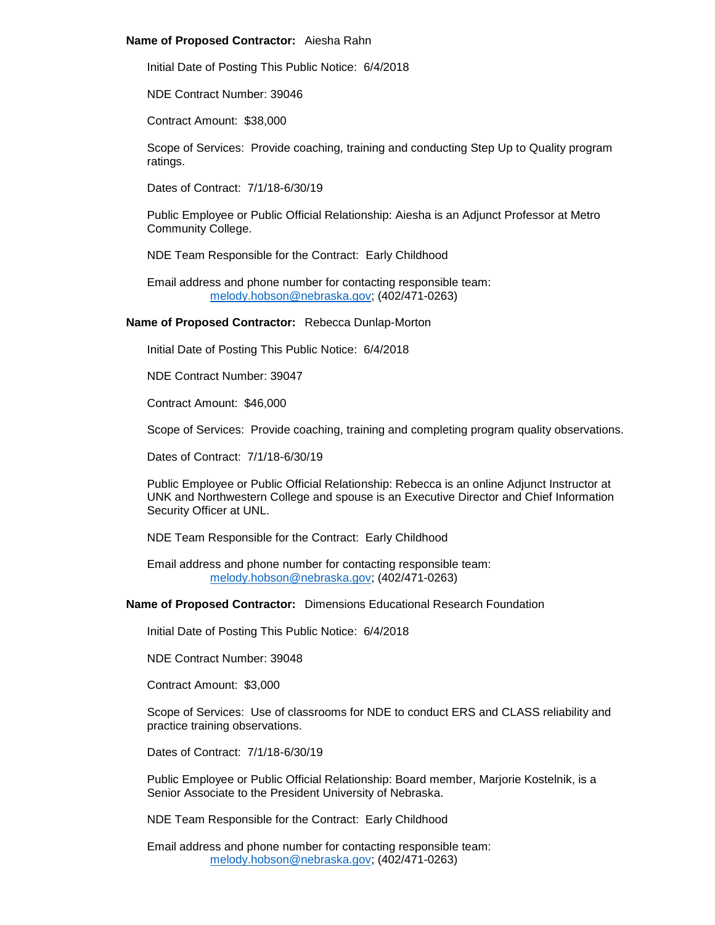## **Name of Proposed Contractor:** Aiesha Rahn

Initial Date of Posting This Public Notice: 6/4/2018

NDE Contract Number: 39046

Contract Amount: \$38,000

Scope of Services: Provide coaching, training and conducting Step Up to Quality program ratings.

Dates of Contract: 7/1/18-6/30/19

Public Employee or Public Official Relationship: Aiesha is an Adjunct Professor at Metro Community College.

NDE Team Responsible for the Contract: Early Childhood

Email address and phone number for contacting responsible team: [melody.hobson@nebraska.gov;](mailto:melody.hobson@nebraska.gov) (402/471-0263)

# **Name of Proposed Contractor:** Rebecca Dunlap-Morton

Initial Date of Posting This Public Notice: 6/4/2018

NDE Contract Number: 39047

Contract Amount: \$46,000

Scope of Services: Provide coaching, training and completing program quality observations.

Dates of Contract: 7/1/18-6/30/19

Public Employee or Public Official Relationship: Rebecca is an online Adjunct Instructor at UNK and Northwestern College and spouse is an Executive Director and Chief Information Security Officer at UNL.

NDE Team Responsible for the Contract: Early Childhood

Email address and phone number for contacting responsible team: [melody.hobson@nebraska.gov;](mailto:melody.hobson@nebraska.gov) (402/471-0263)

**Name of Proposed Contractor:** Dimensions Educational Research Foundation

Initial Date of Posting This Public Notice: 6/4/2018

NDE Contract Number: 39048

Contract Amount: \$3,000

Scope of Services: Use of classrooms for NDE to conduct ERS and CLASS reliability and practice training observations.

Dates of Contract: 7/1/18-6/30/19

Public Employee or Public Official Relationship: Board member, Marjorie Kostelnik, is a Senior Associate to the President University of Nebraska.

NDE Team Responsible for the Contract: Early Childhood

Email address and phone number for contacting responsible team: [melody.hobson@nebraska.gov;](mailto:melody.hobson@nebraska.gov) (402/471-0263)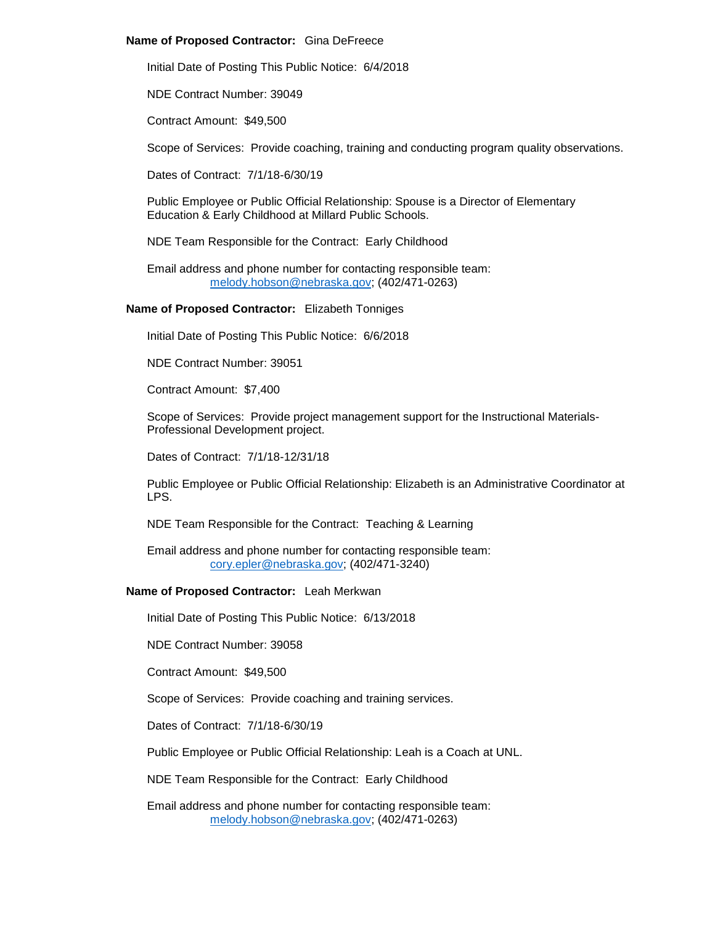## **Name of Proposed Contractor:** Gina DeFreece

Initial Date of Posting This Public Notice: 6/4/2018

NDE Contract Number: 39049

Contract Amount: \$49,500

Scope of Services: Provide coaching, training and conducting program quality observations.

Dates of Contract: 7/1/18-6/30/19

Public Employee or Public Official Relationship: Spouse is a Director of Elementary Education & Early Childhood at Millard Public Schools.

NDE Team Responsible for the Contract: Early Childhood

Email address and phone number for contacting responsible team: [melody.hobson@nebraska.gov;](mailto:melody.hobson@nebraska.gov) (402/471-0263)

**Name of Proposed Contractor:** Elizabeth Tonniges

Initial Date of Posting This Public Notice: 6/6/2018

NDE Contract Number: 39051

Contract Amount: \$7,400

Scope of Services: Provide project management support for the Instructional Materials-Professional Development project.

Dates of Contract: 7/1/18-12/31/18

Public Employee or Public Official Relationship: Elizabeth is an Administrative Coordinator at LPS.

NDE Team Responsible for the Contract: Teaching & Learning

Email address and phone number for contacting responsible team: [cory.epler@nebraska.gov;](mailto:cory.epler@nebraska.gov) (402/471-3240)

# **Name of Proposed Contractor:** Leah Merkwan

Initial Date of Posting This Public Notice: 6/13/2018

NDE Contract Number: 39058

Contract Amount: \$49,500

Scope of Services: Provide coaching and training services.

Dates of Contract: 7/1/18-6/30/19

Public Employee or Public Official Relationship: Leah is a Coach at UNL.

NDE Team Responsible for the Contract: Early Childhood

Email address and phone number for contacting responsible team: [melody.hobson@nebraska.gov;](mailto:melody.hobson@nebraska.gov) (402/471-0263)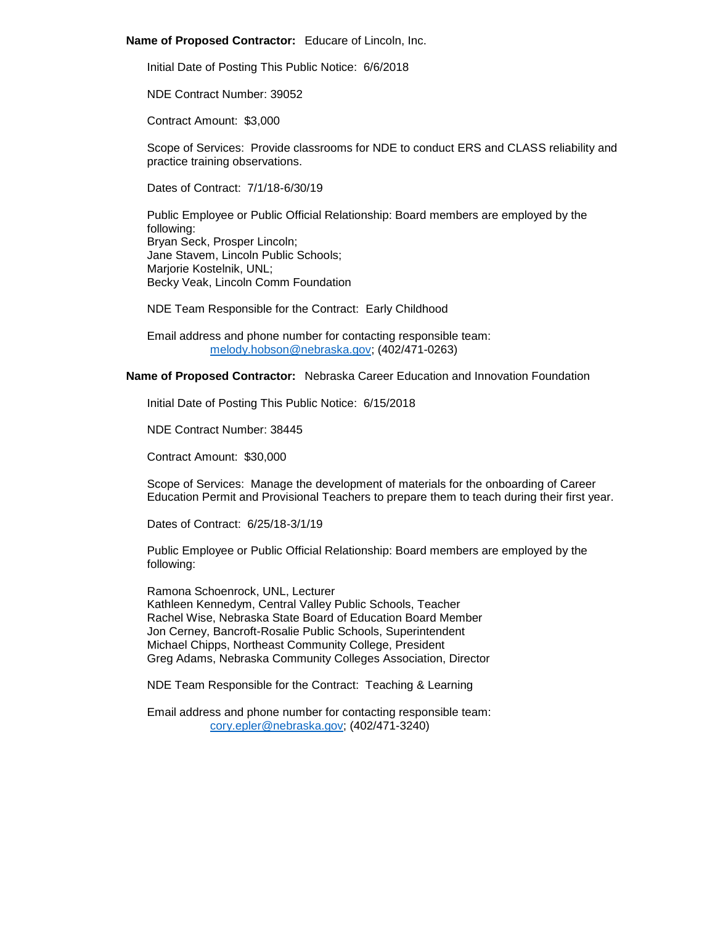#### **Name of Proposed Contractor:** Educare of Lincoln, Inc.

Initial Date of Posting This Public Notice: 6/6/2018

NDE Contract Number: 39052

Contract Amount: \$3,000

Scope of Services: Provide classrooms for NDE to conduct ERS and CLASS reliability and practice training observations.

Dates of Contract: 7/1/18-6/30/19

Public Employee or Public Official Relationship: Board members are employed by the following: Bryan Seck, Prosper Lincoln; Jane Stavem, Lincoln Public Schools; Marjorie Kostelnik, UNL; Becky Veak, Lincoln Comm Foundation

NDE Team Responsible for the Contract: Early Childhood

Email address and phone number for contacting responsible team: [melody.hobson@nebraska.gov;](mailto:melody.hobson@nebraska.gov) (402/471-0263)

**Name of Proposed Contractor:** Nebraska Career Education and Innovation Foundation

Initial Date of Posting This Public Notice: 6/15/2018

NDE Contract Number: 38445

Contract Amount: \$30,000

Scope of Services: Manage the development of materials for the onboarding of Career Education Permit and Provisional Teachers to prepare them to teach during their first year.

Dates of Contract: 6/25/18-3/1/19

Public Employee or Public Official Relationship: Board members are employed by the following:

Ramona Schoenrock, UNL, Lecturer Kathleen Kennedym, Central Valley Public Schools, Teacher Rachel Wise, Nebraska State Board of Education Board Member Jon Cerney, Bancroft-Rosalie Public Schools, Superintendent Michael Chipps, Northeast Community College, President Greg Adams, Nebraska Community Colleges Association, Director

NDE Team Responsible for the Contract: Teaching & Learning

Email address and phone number for contacting responsible team: [cory.epler@nebraska.gov;](mailto:cory.epler@nebraska.gov) (402/471-3240)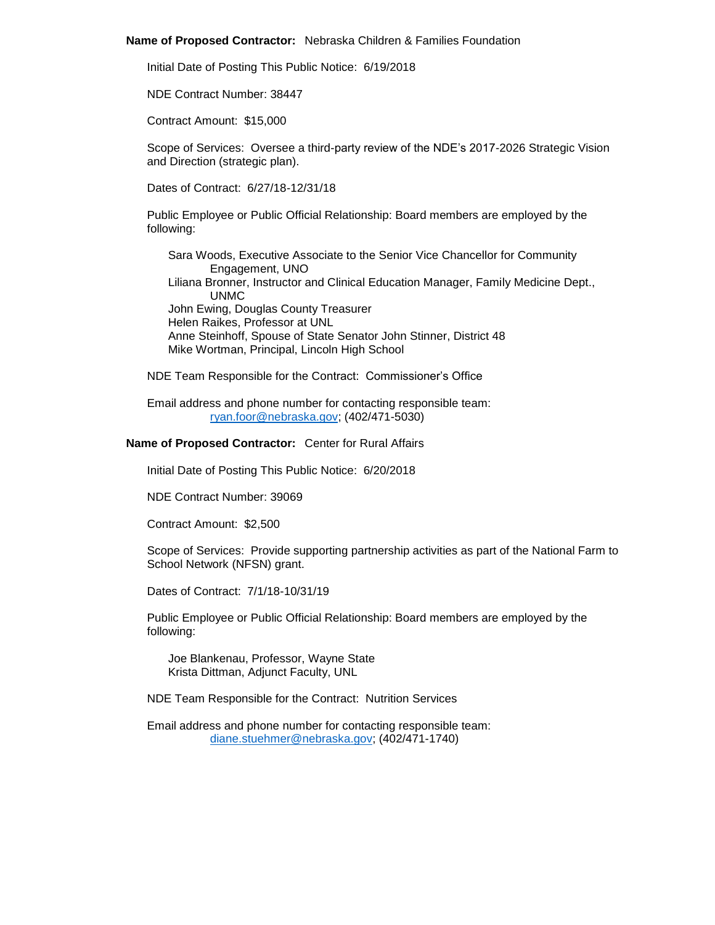#### **Name of Proposed Contractor:** Nebraska Children & Families Foundation

Initial Date of Posting This Public Notice: 6/19/2018

NDE Contract Number: 38447

Contract Amount: \$15,000

Scope of Services: Oversee a third-party review of the NDE's 2017-2026 Strategic Vision and Direction (strategic plan).

Dates of Contract: 6/27/18-12/31/18

Public Employee or Public Official Relationship: Board members are employed by the following:

Sara Woods, Executive Associate to the Senior Vice Chancellor for Community Engagement, UNO Liliana Bronner, Instructor and Clinical Education Manager, Family Medicine Dept., UNMC John Ewing, Douglas County Treasurer Helen Raikes, Professor at UNL Anne Steinhoff, Spouse of State Senator John Stinner, District 48 Mike Wortman, Principal, Lincoln High School

NDE Team Responsible for the Contract: Commissioner's Office

Email address and phone number for contacting responsible team: [ryan.foor@nebraska.gov;](mailto:ryan.foor@nebraska.gov) (402/471-5030)

## **Name of Proposed Contractor:** Center for Rural Affairs

Initial Date of Posting This Public Notice: 6/20/2018

NDE Contract Number: 39069

Contract Amount: \$2,500

Scope of Services: Provide supporting partnership activities as part of the National Farm to School Network (NFSN) grant.

Dates of Contract: 7/1/18-10/31/19

Public Employee or Public Official Relationship: Board members are employed by the following:

Joe Blankenau, Professor, Wayne State Krista Dittman, Adjunct Faculty, UNL

NDE Team Responsible for the Contract: Nutrition Services

Email address and phone number for contacting responsible team: [diane.stuehmer@nebraska.gov;](mailto:diane.stuehmer@nebraska.gov) (402/471-1740)